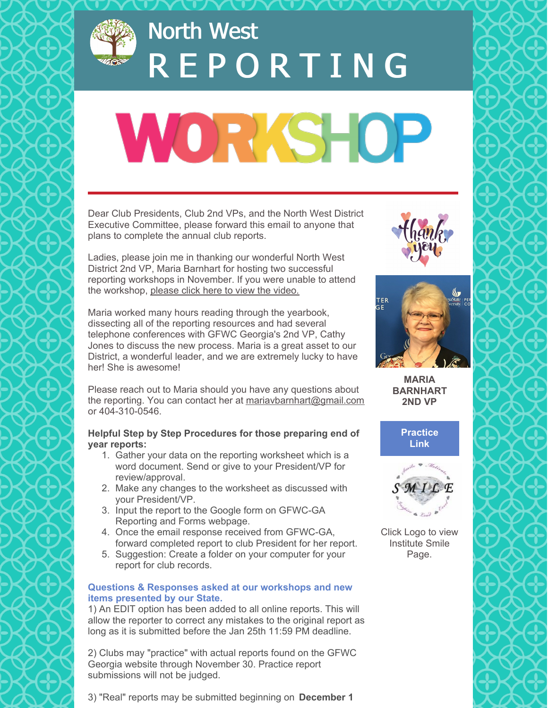

# North West R E P O R T I N G

# **WORKSHOP**

Dear Club Presidents, Club 2nd VPs, and the North West District Executive Committee, please forward this email to anyone that plans to complete the annual club reports.

Ladies, please join me in thanking our wonderful North West District 2nd VP, Maria Barnhart for hosting two successful reporting workshops in November. If you were unable to attend the workshop, [please](https://youtu.be/eX14V0u2A-w) click here to view the video.

Maria worked many hours reading through the yearbook, dissecting all of the reporting resources and had several telephone conferences with GFWC Georgia's 2nd VP, Cathy Jones to discuss the new process. Maria is a great asset to our District, a wonderful leader, and we are extremely lucky to have her! She is awesome!

Please reach out to Maria should you have any questions about the reporting. You can contact her at [mariavbarnhart@gmail.com](mailto:mariavbarnhart@gmail.com) or 404-310-0546.

### **Helpful Step by Step Procedures for those preparing end of year reports:**

- 1. Gather your data on the reporting worksheet which is a word document. Send or give to your President/VP for review/approval.
- 2. Make any changes to the worksheet as discussed with your President/VP.
- 3. Input the report to the Google form on GFWC-GA Reporting and Forms webpage.
- 4. Once the email response received from GFWC-GA, forward completed report to club President for her report.
- 5. Suggestion: Create a folder on your computer for your report for club records.

#### **Questions & Responses asked at our workshops and new items presented by our State.**

1) An EDIT option has been added to all online reports. This will allow the reporter to correct any mistakes to the original report as long as it is submitted before the Jan 25th 11:59 PM deadline.

2) Clubs may "practice" with actual reports found on the GFWC Georgia website through November 30. Practice report submissions will not be judged.







**MARIA BARNHART 2ND VP**





Click Logo to view Institute Smile Page.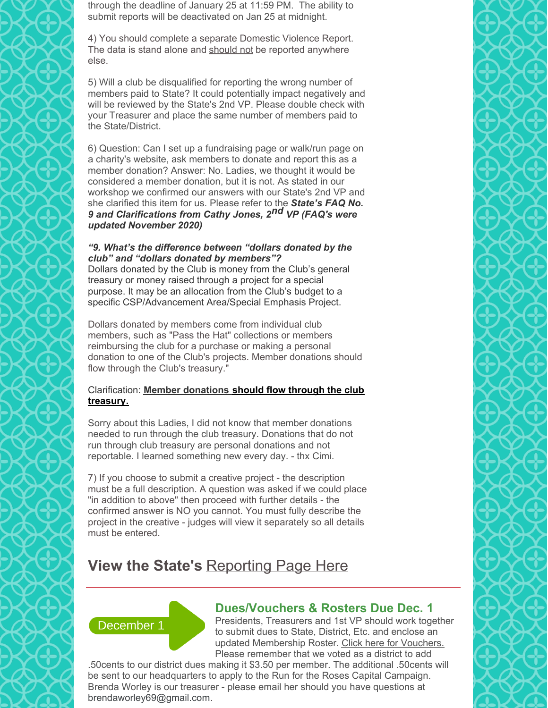through the deadline of January 25 at 11:59 PM. The ability to submit reports will be deactivated on Jan 25 at midnight.

4) You should complete a separate Domestic Violence Report. The data is stand alone and should not be reported anywhere else.

5) Will a club be disqualified for reporting the wrong number of members paid to State? It could potentially impact negatively and will be reviewed by the State's 2nd VP. Please double check with your Treasurer and place the same number of members paid to the State/District.

6) Question: Can I set up a fundraising page or walk/run page on a charity's website, ask members to donate and report this as a member donation? Answer: No. Ladies, we thought it would be considered a member donation, but it is not. As stated in our workshop we confirmed our answers with our State's 2nd VP and she clarified this item for us. Please refer to the *State's FAQ No. 9 and Clarifications from Cathy Jones, 2nd VP (FAQ's were updated November 2020)*

#### *"9. What's the difference between "dollars donated by the club" and "dollars donated by members"?*

Dollars donated by the Club is money from the Club's general treasury or money raised through a project for a special purpose. It may be an allocation from the Club's budget to a specific CSP/Advancement Area/Special Emphasis Project.

Dollars donated by members come from individual club members, such as "Pass the Hat" collections or members reimbursing the club for a purchase or making a personal donation to one of the Club's projects. Member donations should flow through the Club's treasury."

## Clarification: **Member donations should flow through the club treasury.**

Sorry about this Ladies, I did not know that member donations needed to run through the club treasury. Donations that do not run through club treasury are personal donations and not reportable. I learned something new every day. - thx Cimi.

7) If you choose to submit a creative project - the description must be a full description. A question was asked if we could place "in addition to above" then proceed with further details - the confirmed answer is NO you cannot. You must fully describe the project in the creative - judges will view it separately so all details must be entered.

# **View the State's** [Reporting](https://gfwcgeorgia.org/club-resources/reporting-forms/) Page Here



# **Dues/Vouchers & Rosters Due Dec. 1**

Presidents, Treasurers and 1st VP should work together to submit dues to State, District, Etc. and enclose an updated Membership Roster. Click here for [Vouchers.](https://gfwcgeorgia.files.wordpress.com/2020/08/generalduesvouchers.pdf) Please remember that we voted as a district to add

.50cents to our district dues making it \$3.50 per member. The additional .50cents will be sent to our headquarters to apply to the Run for the Roses Capital Campaign. Brenda Worley is our treasurer - please email her should you have questions at [brendaworley69@gmail.com](mailto:brendaworley69@gmail.com).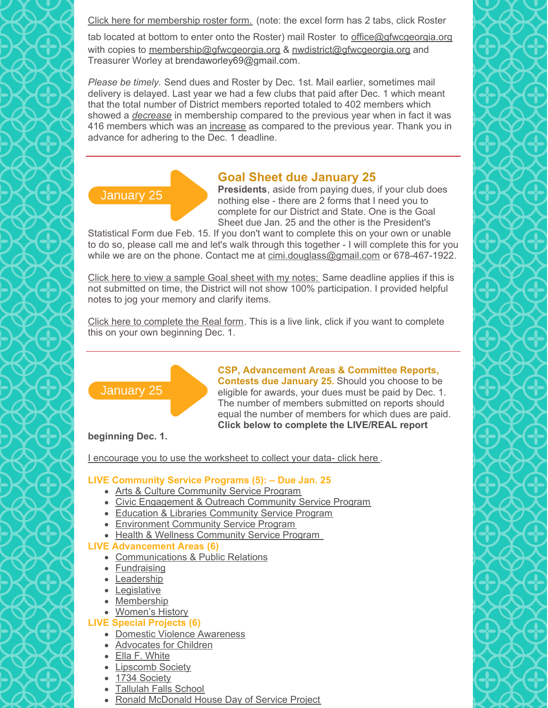Click here for [membership](https://gfwcgeorgia.files.wordpress.com/2018/08/gfwc-ga-blank-membership-roster-2018-2020.xlsx) roster form. (note: the excel form has 2 tabs, click Roster

tab located at bottom to enter onto the Roster) mail Roster to [office@gfwcgeorgia.org](mailto:office@gfwcgeorgia.org) with copies to [membership@gfwcgeorgia.org](mailto:membership@gfwcgeorgia.org) & [nwdistrict@gfwcgeorgia.org](mailto:nwdistrict@gfwcgeorgia.org) and Treasurer Worley at [brendaworley69@gmail.com](mailto:brendaworley69@gmail.com).

*Please be timely.* Send dues and Roster by Dec. 1st. Mail earlier, sometimes mail delivery is delayed. Last year we had a few clubs that paid after Dec. 1 which meant that the total number of District members reported totaled to 402 members which showed a *decrease* in membership compared to the previous year when in fact it was 416 members which was an increase as compared to the previous year. Thank you in advance for adhering to the Dec. 1 deadline.

# **Goal Sheet due January 25**

**Presidents**, aside from paying dues, if your club does nothing else - there are 2 forms that I need you to complete for our District and State. One is the Goal Sheet due Jan. 25 and the other is the President's

Statistical Form due Feb. 15. If you don't want to complete this on your own or unable to do so, please call me and let's walk through this together - I will complete this for you while we are on the phone. Contact me at [cimi.douglass@gmail.com](mailto:cimi.douglass@gmail.com) or 678-467-1922.

Click here to view a [sample](https://files.constantcontact.com/d8c8c931801/cc65f58c-919d-4330-b1b3-e56987826944.pdf) Goal sheet with my notes: Same deadline applies if this is not submitted on time, the District will not show 100% participation. I provided helpful notes to jog your memory and clarify items.

Click here to [complete](https://docs.google.com/forms/d/e/1FAIpQLSdMx8pCT8FKJElgxonwPS0s_ZvTn7XgFeX1JxtYOeo0Hs1XYw/viewform) the Real form. This is a live link, click if you want to complete this on your own beginning Dec. 1.



January 25

**CSP, Advancement Areas & Committee Reports, Contests due January 25.** Should you choose to be eligible for awards, your dues must be paid by Dec. 1. The number of members submitted on reports should equal the number of members for which dues are paid. **Click below to complete the LIVE/REAL report**

**beginning Dec. 1.**

I [encourage](https://files.constantcontact.com/d8c8c931801/0b3d9bee-98df-469f-8dfb-5492cee15b60.docx) you to use the worksheet to collect your data- click here .

# **LIVE Community Service Programs (5): – Due Jan. 25**

- Arts & Culture [Community](https://forms.gle/nhPzW8S48ki8J32h9) Service Program
- Civic [Engagement](https://forms.gle/FCXrbbFozwbNHVXo7) & Outreach Community Service Program
- Education & Libraries [Community](https://forms.gle/dY29u1w15jmyEa2g9) Service Program
- **[Environment](https://forms.gle/fnpKByvRoARDLoee6) Community Service Program**
- Health & Wellness [Community](https://forms.gle/usc4YrnagDGmQR6g6) Service Program

# **LIVE Advancement Areas (6)**

- [Communications](https://forms.gle/o4kybPkzmvb9chmh7) & Public Relations
- [Fundraising](https://forms.gle/xKHJw4B7rjXwNBLs8)
- [Leadership](https://forms.gle/58EhEhDmehHaaxLXA)
- [Legislative](https://forms.gle/oCGvN8eeCb7RHhap8)
- [Membership](https://forms.gle/GdWfsLcWJaxx4Fb38)
- [Women's](https://forms.gle/TNnaPwRwcMF3xBpX9) History

# **LIVE Special Projects (6)**

- Domestic Violence [Awareness](https://forms.gle/58A8SCzxF9R2HxT46)
- [Advocates](https://forms.gle/uVfwW2RjbaCeJeGF6) for Children
- Ella F. [White](https://forms.gle/fb92TTi7jQVJ5F9X8)
- [Lipscomb](https://forms.gle/vfbV57kHekpktX8T8) Society
- 1734 [Society](https://forms.gle/GUXLbyrg9c2xSLWF8)
- [Tallulah](https://forms.gle/pgjww733mmEewKod8) Falls School
- Ronald [McDonald](https://forms.gle/ctr1fMGkQ4bW81EaA) House Day of Service Project